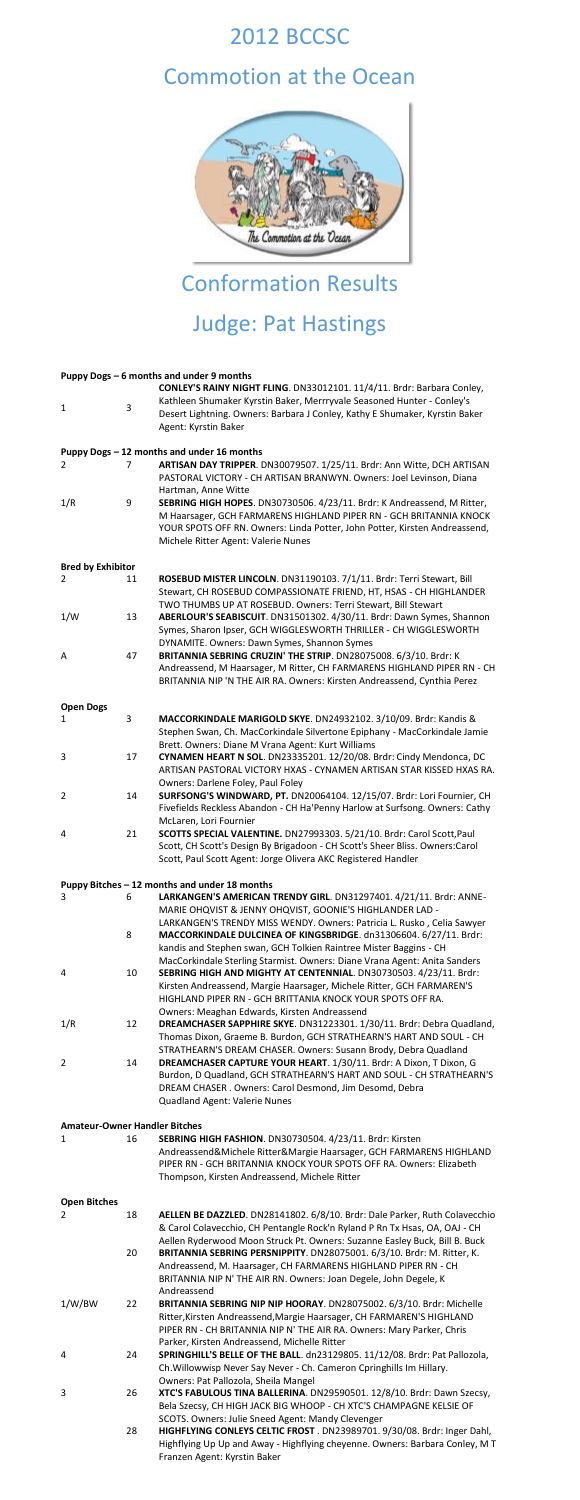## 2012 BCCSC

## Commotion at the Ocean



# Conformation Results Judge: Pat Hastings

|                          |    | Puppy Dogs - 6 months and under 9 months                                                   |
|--------------------------|----|--------------------------------------------------------------------------------------------|
|                          |    | CONLEY'S RAINY NIGHT FLING. DN33012101. 11/4/11. Brdr: Barbara Conley,                     |
| 1                        | 3  | Kathleen Shumaker Kyrstin Baker, Merrryvale Seasoned Hunter - Conley's                     |
|                          |    | Desert Lightning. Owners: Barbara J Conley, Kathy E Shumaker, Kyrstin Baker                |
|                          |    | Agent: Kyrstin Baker                                                                       |
|                          |    | Puppy Dogs - 12 months and under 16 months                                                 |
| 2                        | 7  | ARTISAN DAY TRIPPER. DN30079507. 1/25/11. Brdr: Ann Witte, DCH ARTISAN                     |
|                          |    | PASTORAL VICTORY - CH ARTISAN BRANWYN. Owners: Joel Levinson, Diana<br>Hartman, Anne Witte |
| 1/R                      | 9  | SEBRING HIGH HOPES. DN30730506. 4/23/11. Brdr: K Andreassend, M Ritter,                    |
|                          |    | M Haarsager, GCH FARMARENS HIGHLAND PIPER RN - GCH BRITANNIA KNOCK                         |
|                          |    | YOUR SPOTS OFF RN. Owners: Linda Potter, John Potter, Kirsten Andreassend,                 |
|                          |    | Michele Ritter Agent: Valerie Nunes                                                        |
| <b>Bred by Exhibitor</b> |    |                                                                                            |
| 2                        | 11 | ROSEBUD MISTER LINCOLN. DN31190103. 7/1/11. Brdr: Terri Stewart, Bill                      |
|                          |    | Stewart, CH ROSEBUD COMPASSIONATE FRIEND, HT, HSAS - CH HIGHLANDER                         |
|                          |    | TWO THUMBS UP AT ROSEBUD. Owners: Terri Stewart, Bill Stewart                              |
| 1/W                      | 13 | ABERLOUR'S SEABISCUIT. DN31501302. 4/30/11. Brdr: Dawn Symes, Shannon                      |
|                          |    | Symes, Sharon Ipser, GCH WIGGLESWORTH THRILLER - CH WIGGLESWORTH                           |
|                          |    | DYNAMITE. Owners: Dawn Symes, Shannon Symes                                                |
| A                        | 47 | BRITANNIA SEBRING CRUZIN' THE STRIP. DN28075008. 6/3/10. Brdr: K                           |
|                          |    | Andreassend, M Haarsager, M Ritter, CH FARMARENS HIGHLAND PIPER RN - CH                    |
|                          |    | BRITANNIA NIP 'N THE AIR RA. Owners: Kirsten Andreassend, Cynthia Perez                    |
| <b>Open Dogs</b>         |    |                                                                                            |
| 1                        | 3  | MACCORKINDALE MARIGOLD SKYE. DN24932102. 3/10/09. Brdr: Kandis &                           |
|                          |    | Stephen Swan, Ch. MacCorkindale Silvertone Epiphany - MacCorkindale Jamie                  |
|                          |    | Brett. Owners: Diane M Vrana Agent: Kurt Williams                                          |
| 3                        | 17 | CYNAMEN HEART N SOL. DN23335201. 12/20/08. Brdr: Cindy Mendonca, DC                        |
|                          |    | ARTISAN PASTORAL VICTORY HXAS - CYNAMEN ARTISAN STAR KISSED HXAS RA.                       |
|                          |    | Owners: Darlene Foley, Paul Foley                                                          |
| 2                        | 14 | SURFSONG'S WINDWARD, PT. DN20064104. 12/15/07. Brdr: Lori Fournier, CH                     |
|                          |    | Fivefields Reckless Abandon - CH Ha'Penny Harlow at Surfsong. Owners: Cathy                |
|                          |    | McLaren, Lori Fournier                                                                     |
| 4                        | 21 | SCOTTS SPECIAL VALENTINE. DN27993303. 5/21/10. Brdr: Carol Scott, Paul                     |
|                          |    | Scott, CH Scott's Design By Brigadoon - CH Scott's Sheer Bliss. Owners:Carol               |

#### **Puppy Bitches – 12 months and under 18 months**

| 3                                    | 6<br>8 | LARKANGEN'S AMERICAN TRENDY GIRL. DN31297401. 4/21/11. Brdr: ANNE-<br>MARIE OHQVIST & JENNY OHQVIST, GOONIE'S HIGHLANDER LAD -<br>LARKANGEN'S TRENDY MISS WENDY. Owners: Patricia L. Rusko, Celia Sawyer<br>MACCORKINDALE DULCINEA OF KINGSBRIDGE. dn31306604. 6/27/11. Brdr:<br>kandis and Stephen swan, GCH Tolkien Raintree Mister Baggins - CH<br>MacCorkindale Sterling Starmist. Owners: Diane Vrana Agent: Anita Sanders |
|--------------------------------------|--------|---------------------------------------------------------------------------------------------------------------------------------------------------------------------------------------------------------------------------------------------------------------------------------------------------------------------------------------------------------------------------------------------------------------------------------|
| 4                                    | 10     | SEBRING HIGH AND MIGHTY AT CENTENNIAL. DN30730503. 4/23/11. Brdr:<br>Kirsten Andreassend, Margie Haarsager, Michele Ritter, GCH FARMAREN'S<br>HIGHLAND PIPER RN - GCH BRITTANIA KNOCK YOUR SPOTS OFF RA.<br>Owners: Meaghan Edwards, Kirsten Andreassend                                                                                                                                                                        |
| 1/R                                  | 12     | DREAMCHASER SAPPHIRE SKYE. DN31223301. 1/30/11. Brdr: Debra Quadland,<br>Thomas Dixon, Graeme B. Burdon, GCH STRATHEARN'S HART AND SOUL - CH<br>STRATHEARN'S DREAM CHASER. Owners: Susann Brody, Debra Quadland                                                                                                                                                                                                                 |
| 2                                    | 14     | DREAMCHASER CAPTURE YOUR HEART. 1/30/11. Brdr: A Dixon, T Dixon, G<br>Burdon, D Quadland, GCH STRATHEARN'S HART AND SOUL - CH STRATHEARN'S<br>DREAM CHASER . Owners: Carol Desmond, Jim Desomd, Debra<br>Quadland Agent: Valerie Nunes                                                                                                                                                                                          |
| <b>Amateur-Owner Handler Bitches</b> |        |                                                                                                                                                                                                                                                                                                                                                                                                                                 |
| 1                                    | 16     | SEBRING HIGH FASHION. DN30730504. 4/23/11. Brdr: Kirsten<br>Andreassend&Michele Ritter&Margie Haarsager, GCH FARMARENS HIGHLAND<br>PIPER RN - GCH BRITANNIA KNOCK YOUR SPOTS OFF RA. Owners: Elizabeth<br>Thompson, Kirsten Andreassend, Michele Ritter                                                                                                                                                                         |
| <b>Open Bitches</b>                  |        |                                                                                                                                                                                                                                                                                                                                                                                                                                 |
| 2                                    | 18     | AELLEN BE DAZZLED. DN28141802. 6/8/10. Brdr: Dale Parker, Ruth Colavecchio<br>& Carol Colavecchio, CH Pentangle Rock'n Ryland P Rn Tx Hsas, OA, OAJ - CH<br>Aellen Ryderwood Moon Struck Pt. Owners: Suzanne Easley Buck, Bill B. Buck                                                                                                                                                                                          |
|                                      | 20     | BRITANNIA SEBRING PERSNIPPITY. DN28075001. 6/3/10. Brdr: M. Ritter, K.<br>Andreassend, M. Haarsager, CH FARMARENS HIGHLAND PIPER RN - CH<br>BRITANNIA NIP N' THE AIR RN. Owners: Joan Degele, John Degele, K<br>Andreassend                                                                                                                                                                                                     |
| 1/W/BW                               | 22     | BRITANNIA SEBRING NIP NIP HOORAY. DN28075002. 6/3/10. Brdr: Michelle<br>Ritter, Kirsten Andreassend, Margie Haarsager, CH FARMAREN'S HIGHLAND<br>PIPER RN - CH BRITANNIA NIP N' THE AIR RA. Owners: Mary Parker, Chris<br>Parker, Kirsten Andreassend, Michelle Ritter                                                                                                                                                          |
| 4                                    | 24     | SPRINGHILL'S BELLE OF THE BALL. dn23129805. 11/12/08. Brdr: Pat Pallozola,<br>Ch. Willowwisp Never Say Never - Ch. Cameron Cpringhills Im Hillary.<br>Owners: Pat Pallozola, Sheila Mangel                                                                                                                                                                                                                                      |
| 3                                    | 26     | XTC'S FABULOUS TINA BALLERINA. DN29590501. 12/8/10. Brdr: Dawn Szecsy,<br>Bela Szecsy, CH HIGH JACK BIG WHOOP - CH XTC'S CHAMPAGNE KELSIE OF<br>SCOTS. Owners: Julie Sneed Agent: Mandy Clevenger                                                                                                                                                                                                                               |
|                                      | 28     | HIGHFLYING CONLEYS CELTIC FROST. DN23989701. 9/30/08. Brdr: Inger Dahl,<br>Highflying Up Up and Away - Highflying cheyenne. Owners: Barbara Conley, M T<br>Franzen Agent: Kyrstin Baker                                                                                                                                                                                                                                         |